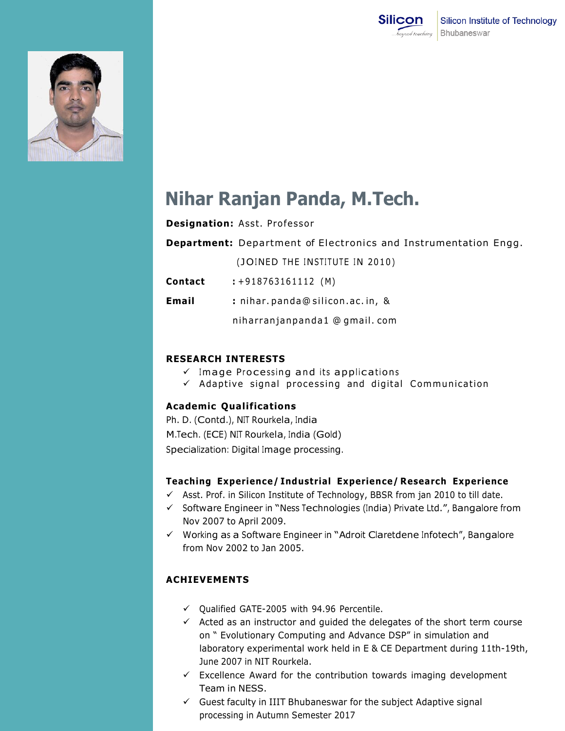



# **Nihar Ranjan Panda, M.Tech.**

## **Designation: Asst. Professor**

**Department:** Department of Electronics and Instrumentation Engg.

(JOINED THE INSTITUTE IN 2010)

**Contact :** +918763161112 (M)

**Email :** nihar . panda@ silicon .ac . in, &

niha rran janpanda1 @ gmail . com

## **RESEARCH INTERESTS**

- $\checkmark$  Image Processing and its applications
- $\checkmark$  Adaptive signal processing and digital Communication

#### **Academic Qualifications**

Ph. D. (Contd.), NIT Rourkela, India M.Tech. (ECE) NIT Rourkela, India (Gold) Specialization: Digital Image processing.

#### **Teaching Experience/ Industrial Experience/ Research Experience**

- $\checkmark$  Asst. Prof. in Silicon Institute of Technology, BBSR from jan 2010 to till date.
- $\checkmark$  Software Engineer in "Ness Technologies (India) Private Ltd.", Bangalore from Nov 2007 to April 2009.
- $\checkmark$  Working as a Software Engineer in "Adroit Claretdene Infotech", Bangalore from Nov 2002 to Jan 2005.

# **ACHIEVEMENTS**

- $\checkmark$  Oualified GATE-2005 with 94.96 Percentile.
- $\checkmark$  Acted as an instructor and guided the delegates of the short term course on " Evolutionary Computing and Advance DSP" in simulation and laboratory experimental work held in E & CE Department during 11th-19th, June 2007 in NIT Rourkela.
- $\checkmark$  Excellence Award for the contribution towards imaging development Team in NESS.
- $\checkmark$  Guest faculty in IIIT Bhubaneswar for the subject Adaptive signal processing in Autumn Semester 2017